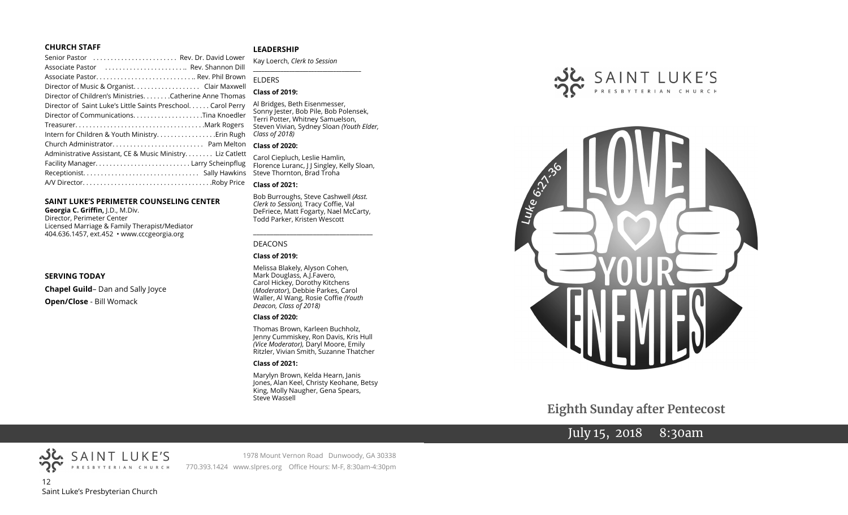### **CHURCH STAFF**

| Senior Pastor  Rev. Dr. David Lower                              |
|------------------------------------------------------------------|
| Associate Pastor (etc.), etc.), etc., etc., ,  Rev. Shannon Dill |
|                                                                  |
| Director of Music & Organist. Clair Maxwell                      |
| Director of Children's MinistriesCatherine Anne Thomas           |
| Director of Saint Luke's Little Saints Preschool. Carol Perry    |
|                                                                  |
|                                                                  |
| Intern for Children & Youth Ministry Erin Rugh                   |
|                                                                  |
| Administrative Assistant, CE & Music Ministry Liz Catlett        |
|                                                                  |
|                                                                  |
|                                                                  |

### **SAINT LUKE'S PERIMETER COUNSELING CENTER**

**Georgia C. Griffin,** J.D., M.Div. Director, Perimeter Center Licensed Marriage & Family Therapist/Mediator 404.636.1457, ext.452 • www.cccgeorgia.org

### **SERVING TODAY**

**Chapel Guild**– Dan and Sally Joyce **Open/Close** - Bill Womack

### **LEADERSHIP**

Kay Loerch, *Clerk to Session*  **\_\_\_\_\_\_\_\_\_\_\_\_\_\_\_\_\_\_\_\_\_\_\_\_\_\_\_\_\_\_\_\_\_\_\_\_\_\_\_**

### ELDERS

### **Class of 2019:**

Al Bridges, Beth Eisenmesser, Sonny Jester, Bob Pile, Bob Polensek, Terri Potter, Whitney Samuelson, Steven Vivian*,* Sydney Sloan *(Youth Elder, Class of 2018)*

### **Class of 2020:**

Carol Ciepluch, Leslie Hamlin, Florence Luranc, J J Singley, Kelly Sloan, Steve Thornton, Brad Troha

### **Class of 2021:**

Bob Burroughs, Steve Cashwell *(Asst. Clerk to Session),* Tracy Coffie, Val DeFriece, Matt Fogarty, Nael McCarty, Todd Parker, Kristen Wescott

\_\_\_\_\_\_\_\_\_\_\_\_\_\_\_\_\_\_\_\_\_\_\_\_\_\_\_\_\_\_\_\_\_\_\_\_

### DEACONS

### **Class of 2019:**

Melissa Blakely, Alyson Cohen, Mark Douglass, A.J.Favero, Carol Hickey, Dorothy Kitchens (*Moderator*), Debbie Parkes, Carol Waller, Al Wang, Rosie Coffie *(Youth Deacon, Class of 2018)* 

### **Class of 2020:**

Thomas Brown, Karleen Buchholz, Jenny Cummiskey, Ron Davis, Kris Hull *(Vice Moderator),* Daryl Moore, Emily Ritzler, Vivian Smith, Suzanne Thatcher

### **Class of 2021:**

Marylyn Brown, Kelda Hearn, Janis Jones, Alan Keel, Christy Keohane, Betsy King, Molly Naugher, Gena Spears, Steve Wassell





**Eighth Sunday after Pentecost**

# July 15, 2018 8:30am



SAINT LUKE'S

1978 Mount Vernon Road Dunwoody, GA 30338 770.393.1424 www.slpres.org Office Hours: M-F, 8:30am-4:30pm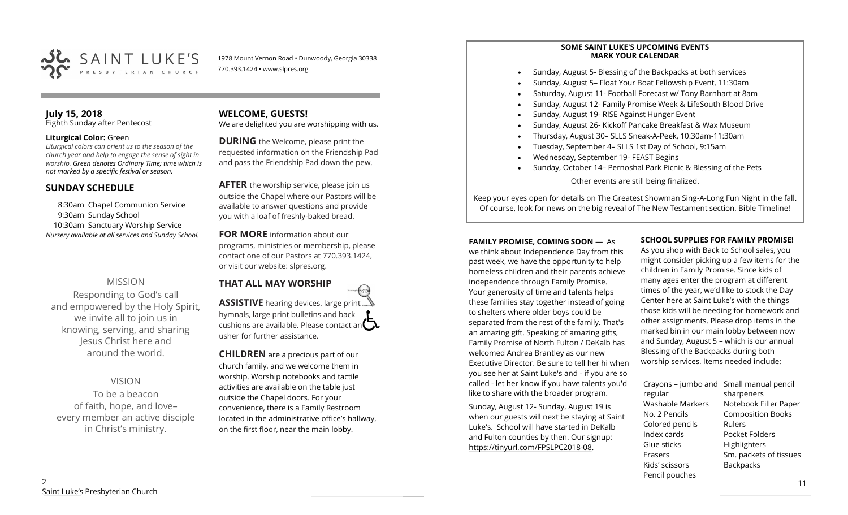

1978 Mount Vernon Road • Dunwoody, Georgia 30338 770.393.1424 • www.slpres.org

### **July 15, 2018**  Eighth Sunday after Pentecost

### **Liturgical Color:** Green

*Liturgical colors can orient us to the season of the church year and help to engage the sense of sight in worship. Green denotes Ordinary Time; time which is not marked by a specific festival or season.*

## **SUNDAY SCHEDULE**

8:30am Chapel Communion Service 9:30am Sunday School 10:30am Sanctuary Worship Service *Nursery available at all services and Sunday School.* 

# MISSION

Responding to God's call and empowered by the Holy Spirit, we invite all to join us in knowing, serving, and sharing Jesus Christ here and around the world.

# VISION

To be a beacon of faith, hope, and love– every member an active disciple in Christ's ministry.

# **WELCOME, GUESTS!**

We are delighted you are worshipping with us.

**DURING** the Welcome, please print the requested information on the Friendship Pad and pass the Friendship Pad down the pew.

**AFTER** the worship service, please join us outside the Chapel where our Pastors will be available to answer questions and provide you with a loaf of freshly-baked bread.

**FOR MORE** information about our programs, ministries or membership, please contact one of our Pastors at 770.393.1424, or visit our website: slpres.org.

# **THAT ALL MAY WORSHIP**

**ASSISTIVE** hearing devices, large print hymnals, large print bulletins and back cushions are available. Please contact an  $\square$ usher for further assistance.

thistex

**CHILDREN** are a precious part of our church family, and we welcome them in worship. Worship notebooks and tactile activities are available on the table just outside the Chapel doors. For your convenience, there is a Family Restroom located in the administrative office's hallway, on the first floor, near the main lobby.

### **SOME SAINT LUKE'S UPCOMING EVENTS MARK YOUR CALENDAR**

- Sunday, August 5- Blessing of the Backpacks at both services
- Sunday, August 5– Float Your Boat Fellowship Event, 11:30am
- Saturday, August 11- Football Forecast w/ Tony Barnhart at 8am
- Sunday, August 12- Family Promise Week & LifeSouth Blood Drive
- Sunday, August 19- RISE Against Hunger Event
- Sunday, August 26- Kickoff Pancake Breakfast & Wax Museum
- Thursday, August 30– SLLS Sneak-A-Peek, 10:30am-11:30am
- Tuesday, September 4– SLLS 1st Day of School, 9:15am
- Wednesday, September 19- FEAST Begins
- Sunday, October 14– Pernoshal Park Picnic & Blessing of the Pets

Other events are still being finalized.

Keep your eyes open for details on The Greatest Showman Sing-A-Long Fun Night in the fall. Of course, look for news on the big reveal of The New Testament section, Bible Timeline!

### **FAMILY PROMISE, COMING SOON** —As

we think about Independence Day from this past week, we have the opportunity to help homeless children and their parents achieve independence through Family Promise. Your generosity of time and talents helps these families stay together instead of going to shelters where older boys could be separated from the rest of the family. That's an amazing gift. Speaking of amazing gifts, Family Promise of North Fulton / DeKalb has welcomed Andrea Brantley as our new Executive Director. Be sure to tell her hi when you see her at Saint Luke's and - if you are so called - let her know if you have talents you'd like to share with the broader program.

Sunday, August 12- Sunday, August 19 is when our guests will next be staying at Saint Luke's. School will have started in DeKalb and Fulton counties by then. Our signup: [https://tinyurl.com/FPSLPC2018](https://tinyurl.com/FPSLPC2018-08)-08.

### **SCHOOL SUPPLIES FOR FAMILY PROMISE!**

As you shop with Back to School sales, you might consider picking up a few items for the children in Family Promise. Since kids of many ages enter the program at different times of the year, we'd like to stock the Day Center here at Saint Luke's with the things those kids will be needing for homework and other assignments. Please drop items in the marked bin in our main lobby between now and Sunday, August 5 – which is our annual Blessing of the Backpacks during both worship services. Items needed include:

Crayons – jumbo and Small manual pencil regular Washable Markers No. 2 Pencils Colored pencils Index cards Glue sticks Erasers Kids' scissors Pencil pouches sharpeners Notebook Filler Paper Composition Books Rulers Pocket Folders **Highlighters** Sm. packets of tissues **Backpacks**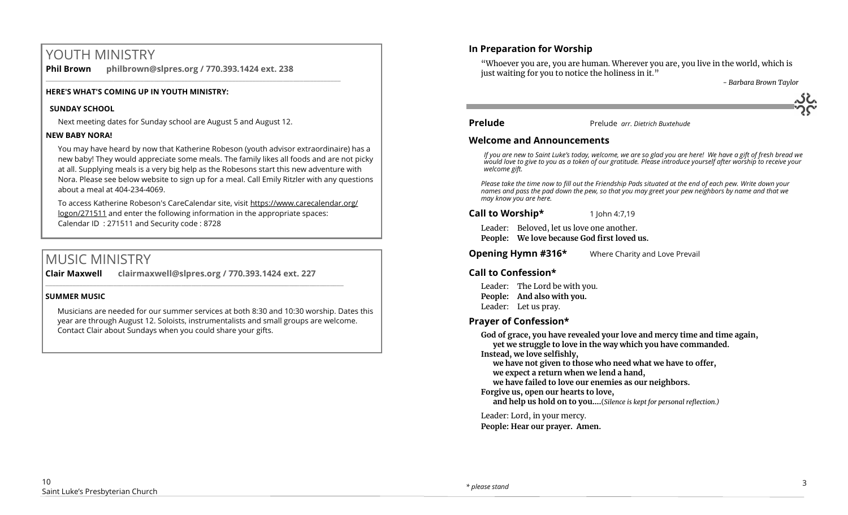# YOUTH MINISTRY

**Phil Brown philbrown@slpres.org / 770.393.1424 ext. 238**  \_\_\_\_\_\_\_\_\_\_\_\_\_\_\_\_\_\_\_\_\_\_\_\_\_\_\_\_\_\_\_\_\_\_\_\_\_\_\_\_\_\_\_\_\_\_\_\_\_\_\_\_\_\_\_\_\_\_\_\_\_\_\_\_\_\_\_\_\_\_\_\_\_\_\_\_\_\_\_\_\_\_\_\_\_\_\_

### **HERE'S WHAT'S COMING UP IN YOUTH MINISTRY:**

### **SUNDAY SCHOOL**

Next meeting dates for Sunday school are August 5 and August 12.

### **NEW BABY NORA!**

You may have heard by now that Katherine Robeson (youth advisor extraordinaire) has a new baby! They would appreciate some meals. The family likes all foods and are not picky at all. Supplying meals is a very big help as the Robesons start this new adventure with Nora. Please see below website to sign up for a meal. Call Emily Ritzler with any questions about a meal at 404-234-4069.

To access Katherine Robeson's CareCalendar site, visit [https://www.carecalendar.org/](https://www.carecalendar.org/logon/271511) [logon/271511](https://www.carecalendar.org/logon/271511) and enter the following information in the appropriate spaces: Calendar ID : 271511 and Security code : 8728

# MUSIC MINISTRY

**Clair Maxwell clairmaxwell@slpres.org / 770.393.1424 ext. 227** 

\_\_\_\_\_\_\_\_\_\_\_\_\_\_\_\_\_\_\_\_\_\_\_\_\_\_\_\_\_\_\_\_\_\_\_\_\_\_\_\_\_\_\_\_\_\_\_\_\_\_\_\_\_\_\_\_\_\_\_\_\_\_\_\_\_\_\_\_\_\_\_\_\_\_\_\_\_\_\_\_\_\_\_\_\_\_\_\_

### **SUMMER MUSIC**

Musicians are needed for our summer services at both 8:30 and 10:30 worship. Dates this year are through August 12. Soloists, instrumentalists and small groups are welcome. Contact Clair about Sundays when you could share your gifts.

# **In Preparation for Worship**

"Whoever you are, you are human. Wherever you are, you live in the world, which is just waiting for you to notice the holiness in it."

*- Barbara Brown Taylor*

**Prelude** Prelude *arr. Dietrich Buxtehude*

### **Welcome and Announcements**

*If you are new to Saint Luke's today, welcome, we are so glad you are here! We have a gift of fresh bread we would love to give to you as a token of our gratitude. Please introduce yourself after worship to receive your welcome gift.*

*Please take the time now to fill out the Friendship Pads situated at the end of each pew. Write down your names and pass the pad down the pew, so that you may greet your pew neighbors by name and that we may know you are here.*

### **Call to Worship\*** 1 John 4:7,19

Leader: Beloved, let us love one another. **People: We love because God first loved us.**

**Opening Hymn #316\*** Where Charity and Love Prevail

# **Call to Confession\***

Leader: The Lord be with you. **People: And also with you.** Leader: Let us pray.

# **Prayer of Confession\***

**God of grace, you have revealed your love and mercy time and time again, yet we struggle to love in the way which you have commanded. Instead, we love selfishly,**

**we have not given to those who need what we have to offer, we expect a return when we lend a hand,**

**we have failed to love our enemies as our neighbors.**

**Forgive us, open our hearts to love,** 

**and help us hold on to you….**(*Silence is kept for personal reflection.)*

Leader: Lord, in your mercy. **People: Hear our prayer. Amen.**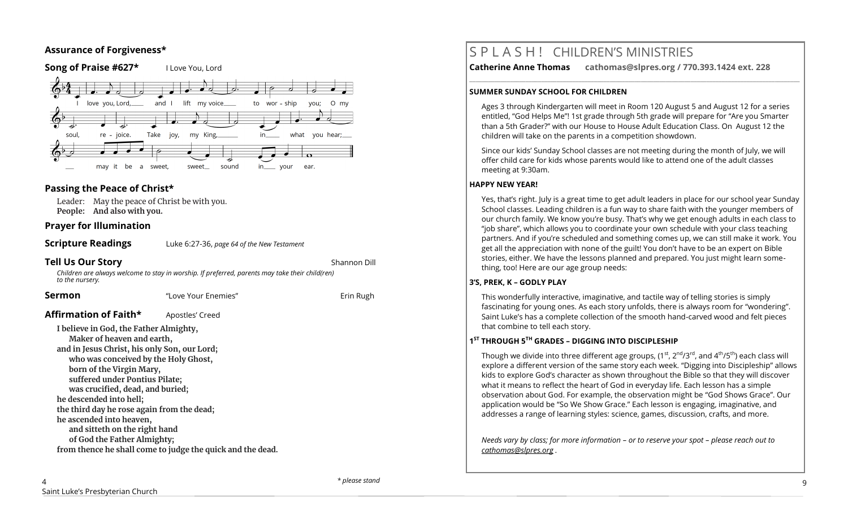## **Assurance of Forgiveness\***



## **Passing the Peace of Christ\***

Leader: May the peace of Christ be with you. **People: And also with you.** 

## **Prayer for Illumination**

**Scripture Readings** Luke 6:27-36, *page 64 of the New Testament*

### **Tell Us Our Story Shannon Dill**

*Children are always welcome to stay in worship. If preferred, parents may take their child(ren) to the nursery.*

| Sermon                                                                                                                                                                                                                                                                                                                                                                                                                              | "Love Your Enemies"                                        | Erin Rugh |
|-------------------------------------------------------------------------------------------------------------------------------------------------------------------------------------------------------------------------------------------------------------------------------------------------------------------------------------------------------------------------------------------------------------------------------------|------------------------------------------------------------|-----------|
| Affirmation of Faith*                                                                                                                                                                                                                                                                                                                                                                                                               | Apostles' Creed                                            |           |
| I believe in God, the Father Almighty,<br>Maker of heaven and earth,<br>and in Jesus Christ, his only Son, our Lord;<br>who was conceived by the Holy Ghost,<br>born of the Virgin Mary,<br>suffered under Pontius Pilate;<br>was crucified, dead, and buried;<br>he descended into hell;<br>the third day he rose again from the dead;<br>he ascended into heaven,<br>and sitteth on the right hand<br>of God the Father Almighty; |                                                            |           |
|                                                                                                                                                                                                                                                                                                                                                                                                                                     | from thence he shall come to judge the quick and the dead. |           |

# S P L A S H ! CHILDREN'S MINISTRIES

**Catherine Anne Thomas cathomas@slpres.org / 770.393.1424 ext. 228** 

### **SUMMER SUNDAY SCHOOL FOR CHILDREN**

Ages 3 through Kindergarten will meet in Room 120 August 5 and August 12 for a series entitled, "God Helps Me"! 1st grade through 5th grade will prepare for "Are you Smarter than a 5th Grader?" with our House to House Adult Education Class. On August 12 the children will take on the parents in a competition showdown.

**\_\_\_\_\_\_\_\_\_\_\_\_\_\_\_\_\_\_\_\_\_\_\_\_\_\_\_\_\_\_\_\_\_\_\_\_\_\_\_\_\_\_\_\_\_\_\_\_\_\_\_\_\_\_\_\_\_\_\_\_\_\_\_\_\_\_\_\_\_\_\_\_\_\_\_\_\_\_\_\_\_\_\_\_\_\_\_\_\_\_\_\_\_\_\_\_\_\_\_\_\_\_\_\_\_\_** 

Since our kids' Sunday School classes are not meeting during the month of July, we will offer child care for kids whose parents would like to attend one of the adult classes meeting at 9:30am.

### **HAPPY NEW YEAR!**

Yes, that's right. July is a great time to get adult leaders in place for our school year Sunday School classes. Leading children is a fun way to share faith with the younger members of our church family. We know you're busy. That's why we get enough adults in each class to "job share", which allows you to coordinate your own schedule with your class teaching partners. And if you're scheduled and something comes up, we can still make it work. You get all the appreciation with none of the guilt! You don't have to be an expert on Bible stories, either. We have the lessons planned and prepared. You just might learn something, too! Here are our age group needs:

### **3'S, PREK, K – GODLY PLAY**

This wonderfully interactive, imaginative, and tactile way of telling stories is simply fascinating for young ones. As each story unfolds, there is always room for "wondering". Saint Luke's has a complete collection of the smooth hand-carved wood and felt pieces that combine to tell each story.

## **1 ST THROUGH 5TH GRADES – DIGGING INTO DISCIPLESHIP**

Though we divide into three different age groups,  $(1^{st}, 2^{nd}/3^{rd})$ , and  $4^{th}/5^{th}$ ) each class will explore a different version of the same story each week. "Digging into Discipleship" allows kids to explore God's character as shown throughout the Bible so that they will discover what it means to reflect the heart of God in everyday life. Each lesson has a simple observation about God. For example, the observation might be "God Shows Grace". Our application would be "So We Show Grace." Each lesson is engaging, imaginative, and addresses a range of learning styles: science, games, discussion, crafts, and more.

*Needs vary by class; for more information – or to reserve your spot – please reach out to [cathomas@slpres.org](mailto:cathomas@slpres.org) .*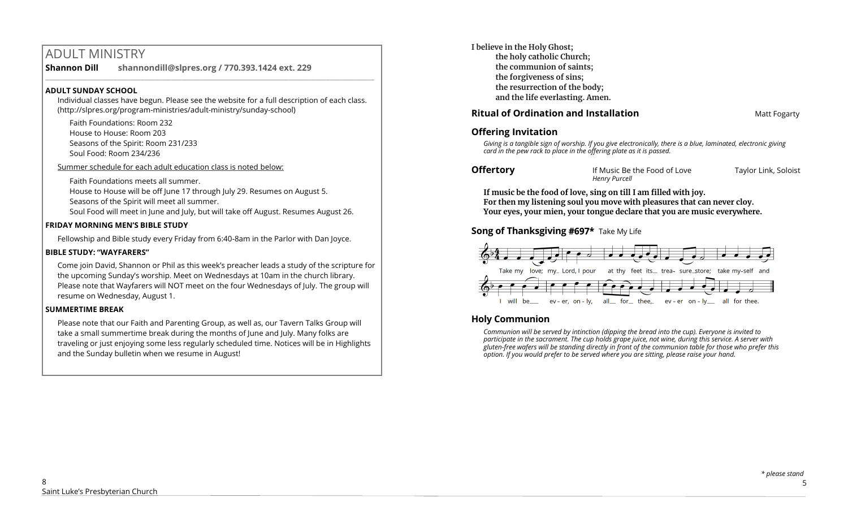# ADULT MINISTRY

**Shannon Dill shannondill@slpres.org / 770.393.1424 ext. 229**   $\_$  ,  $\_$  ,  $\_$  ,  $\_$  ,  $\_$  ,  $\_$  ,  $\_$  ,  $\_$  ,  $\_$  ,  $\_$  ,  $\_$  ,  $\_$  ,  $\_$  ,  $\_$  ,  $\_$  ,  $\_$  ,  $\_$  ,  $\_$  ,  $\_$ 

### **ADULT SUNDAY SCHOOL**

Individual classes have begun. Please see the website for a full description of each class. (http://slpres.org/program-ministries/adult-ministry/sunday-school)

Faith Foundations: Room 232 House to House: Room 203 Seasons of the Spirit: Room 231/233 Soul Food: Room 234/236

Summer schedule for each adult education class is noted below:

Faith Foundations meets all summer.

House to House will be off June 17 through July 29. Resumes on August 5. Seasons of the Spirit will meet all summer.

Soul Food will meet in June and July, but will take off August. Resumes August 26.

## **FRIDAY MORNING MEN'S BIBLE STUDY**

Fellowship and Bible study every Friday from 6:40-8am in the Parlor with Dan Joyce.

## **BIBLE STUDY: "WAYFARERS"**

Come join David, Shannon or Phil as this week's preacher leads a study of the scripture for the upcoming Sunday's worship. Meet on Wednesdays at 10am in the church library. Please note that Wayfarers will NOT meet on the four Wednesdays of July. The group will resume on Wednesday, August 1.

## **SUMMERTIME BREAK**

Please note that our Faith and Parenting Group, as well as, our Tavern Talks Group will take a small summertime break during the months of June and July. Many folks are traveling or just enjoying some less regularly scheduled time. Notices will be in Highlights and the Sunday bulletin when we resume in August!

**I believe in the Holy Ghost; the holy catholic Church; the communion of saints; the forgiveness of sins; the resurrection of the body; and the life everlasting. Amen.**

# **Ritual of Ordination and Installation Matt Fogarty**

## **Offering Invitation**

*Giving is a tangible sign of worship. If you give electronically, there is a blue, laminated, electronic giving card in the pew rack to place in the offering plate as it is passed.*

**Offertory If Music Be the Food of Love** Taylor Link, Soloist *Henry Purcell*

**If music be the food of love, sing on till I am filled with joy. For then my listening soul you move with pleasures that can never cloy. Your eyes, your mien, your tongue declare that you are music everywhere.**

# **Song of Thanksgiving #697\*** Take My Life



# **Holy Communion**

*Communion will be served by intinction (dipping the bread into the cup). Everyone is invited to participate in the sacrament. The cup holds grape juice, not wine, during this service. A server with gluten-free wafers will be standing directly in front of the communion table for those who prefer this option. If you would prefer to be served where you are sitting, please raise your hand.*